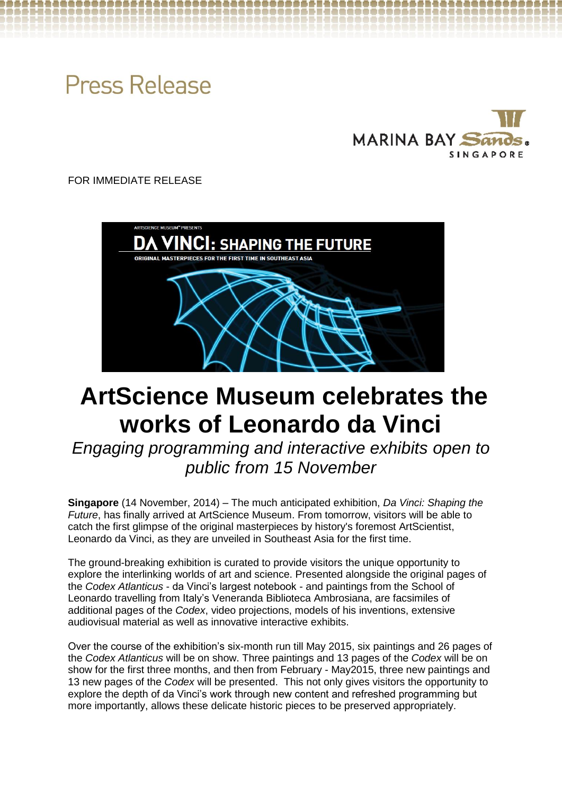# **Press Release**



FOR IMMEDIATE RELEASE



# **ArtScience Museum celebrates the works of Leonardo da Vinci**

*Engaging programming and interactive exhibits open to public from 15 November*

**Singapore** (14 November, 2014) – The much anticipated exhibition, *Da Vinci: Shaping the Future*, has finally arrived at ArtScience Museum. From tomorrow, visitors will be able to catch the first glimpse of the original masterpieces by history's foremost ArtScientist, Leonardo da Vinci, as they are unveiled in Southeast Asia for the first time.

The ground-breaking exhibition is curated to provide visitors the unique opportunity to explore the interlinking worlds of art and science. Presented alongside the original pages of the *Codex Atlanticus* - da Vinci's largest notebook - and paintings from the School of Leonardo travelling from Italy's Veneranda Biblioteca Ambrosiana, are facsimiles of additional pages of the *Codex*, video projections, models of his inventions, extensive audiovisual material as well as innovative interactive exhibits.

Over the course of the exhibition's six-month run till May 2015, six paintings and 26 pages of the *Codex Atlanticus* will be on show. Three paintings and 13 pages of the *Codex* will be on show for the first three months, and then from February - May2015, three new paintings and 13 new pages of the *Codex* will be presented. This not only gives visitors the opportunity to explore the depth of da Vinci's work through new content and refreshed programming but more importantly, allows these delicate historic pieces to be preserved appropriately.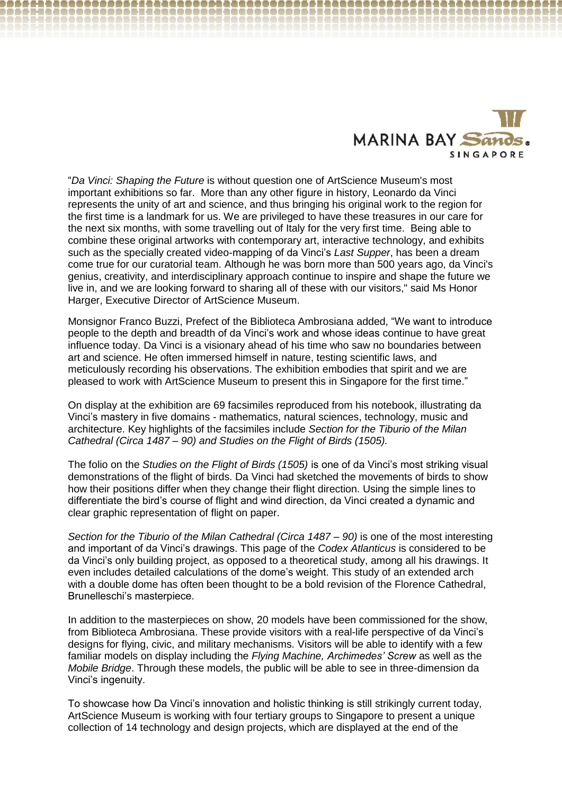

"*Da Vinci: Shaping the Future* is without question one of ArtScience Museum's most important exhibitions so far. More than any other figure in history, Leonardo da Vinci represents the unity of art and science, and thus bringing his original work to the region for the first time is a landmark for us. We are privileged to have these treasures in our care for the next six months, with some travelling out of Italy for the very first time. Being able to combine these original artworks with contemporary art, interactive technology, and exhibits such as the specially created video-mapping of da Vinci's *Last Supper*, has been a dream come true for our curatorial team. Although he was born more than 500 years ago, da Vinci's genius, creativity, and interdisciplinary approach continue to inspire and shape the future we live in, and we are looking forward to sharing all of these with our visitors," said Ms Honor Harger, Executive Director of ArtScience Museum.

Monsignor Franco Buzzi, Prefect of the Biblioteca Ambrosiana added, "We want to introduce people to the depth and breadth of da Vinci's work and whose ideas continue to have great influence today. Da Vinci is a visionary ahead of his time who saw no boundaries between art and science. He often immersed himself in nature, testing scientific laws, and meticulously recording his observations. The exhibition embodies that spirit and we are pleased to work with ArtScience Museum to present this in Singapore for the first time."

On display at the exhibition are 69 facsimiles reproduced from his notebook, illustrating da Vinci's mastery in five domains - mathematics, natural sciences, technology, music and architecture. Key highlights of the facsimiles include *Section for the Tiburio of the Milan Cathedral (Circa 1487 – 90) and Studies on the Flight of Birds (1505).*

The folio on the *Studies on the Flight of Birds (1505)* is one of da Vinci's most striking visual demonstrations of the flight of birds. Da Vinci had sketched the movements of birds to show how their positions differ when they change their flight direction. Using the simple lines to differentiate the bird's course of flight and wind direction, da Vinci created a dynamic and clear graphic representation of flight on paper.

*Section for the Tiburio of the Milan Cathedral (Circa 1487 – 90)* is one of the most interesting and important of da Vinci's drawings. This page of the *Codex Atlanticus* is considered to be da Vinci's only building project, as opposed to a theoretical study, among all his drawings. It even includes detailed calculations of the dome's weight. This study of an extended arch with a double dome has often been thought to be a bold revision of the Florence Cathedral, Brunelleschi's masterpiece.

In addition to the masterpieces on show, 20 models have been commissioned for the show, from Biblioteca Ambrosiana. These provide visitors with a real-life perspective of da Vinci's designs for flying, civic, and military mechanisms. Visitors will be able to identify with a few familiar models on display including the *Flying Machine, Archimedes' Screw* as well as the *Mobile Bridge*. Through these models, the public will be able to see in three-dimension da Vinci's ingenuity.

To showcase how Da Vinci's innovation and holistic thinking is still strikingly current today, ArtScience Museum is working with four tertiary groups to Singapore to present a unique collection of 14 technology and design projects, which are displayed at the end of the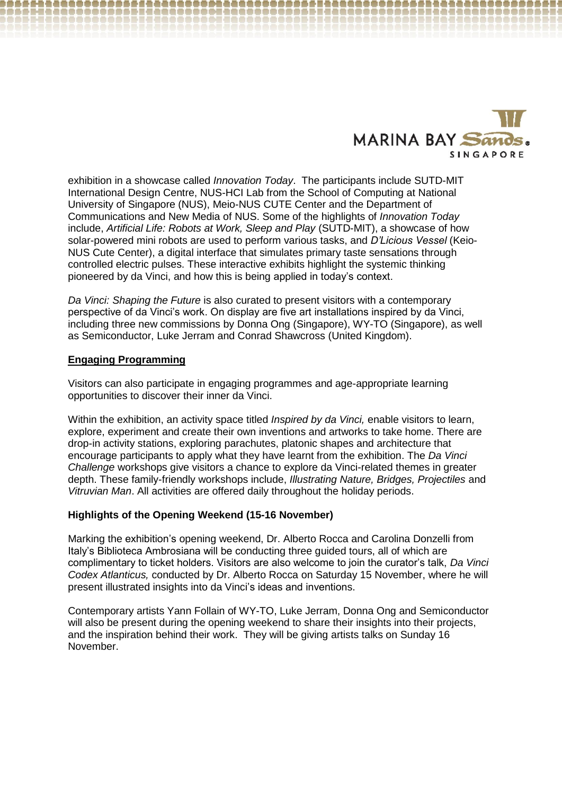

exhibition in a showcase called *Innovation Today*. The participants include SUTD-MIT International Design Centre, NUS-HCI Lab from the School of Computing at National University of Singapore (NUS), Meio-NUS CUTE Center and the Department of Communications and New Media of NUS. Some of the highlights of *Innovation Today*  include, *Artificial Life: Robots at Work, Sleep and Play* (SUTD-MIT), a showcase of how solar-powered mini robots are used to perform various tasks, and *D'Licious Vessel* (Keio-NUS Cute Center), a digital interface that simulates primary taste sensations through controlled electric pulses. These interactive exhibits highlight the systemic thinking pioneered by da Vinci, and how this is being applied in today's context.

*Da Vinci: Shaping the Future* is also curated to present visitors with a contemporary perspective of da Vinci's work. On display are five art installations inspired by da Vinci, including three new commissions by Donna Ong (Singapore), WY-TO (Singapore), as well as Semiconductor, Luke Jerram and Conrad Shawcross (United Kingdom).

## **Engaging Programming**

Visitors can also participate in engaging programmes and age-appropriate learning opportunities to discover their inner da Vinci.

Within the exhibition, an activity space titled *Inspired by da Vinci,* enable visitors to learn, explore, experiment and create their own inventions and artworks to take home. There are drop-in activity stations, exploring parachutes, platonic shapes and architecture that encourage participants to apply what they have learnt from the exhibition. The *Da Vinci Challenge* workshops give visitors a chance to explore da Vinci-related themes in greater depth. These family-friendly workshops include, *Illustrating Nature, Bridges, Projectiles* and *Vitruvian Man*. All activities are offered daily throughout the holiday periods.

## **Highlights of the Opening Weekend (15-16 November)**

Marking the exhibition's opening weekend, Dr. Alberto Rocca and Carolina Donzelli from Italy's Biblioteca Ambrosiana will be conducting three guided tours, all of which are complimentary to ticket holders. Visitors are also welcome to join the curator's talk, *Da Vinci Codex Atlanticus,* conducted by Dr. Alberto Rocca on Saturday 15 November, where he will present illustrated insights into da Vinci's ideas and inventions.

Contemporary artists Yann Follain of WY-TO, Luke Jerram, Donna Ong and Semiconductor will also be present during the opening weekend to share their insights into their projects, and the inspiration behind their work. They will be giving artists talks on Sunday 16 November.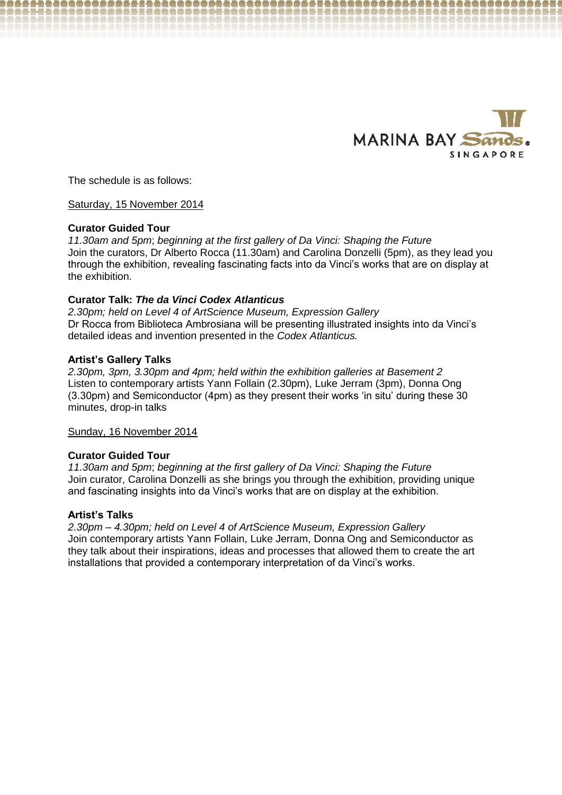

The schedule is as follows:

## Saturday, 15 November 2014

## **Curator Guided Tour**

*11.30am and 5pm*; *beginning at the first gallery of Da Vinci: Shaping the Future* Join the curators, Dr Alberto Rocca (11.30am) and Carolina Donzelli (5pm), as they lead you through the exhibition, revealing fascinating facts into da Vinci's works that are on display at the exhibition.

## **Curator Talk:** *The da Vinci Codex Atlanticus*

*2.30pm; held on Level 4 of ArtScience Museum, Expression Gallery* Dr Rocca from Biblioteca Ambrosiana will be presenting illustrated insights into da Vinci's detailed ideas and invention presented in the *Codex Atlanticus.* 

## **Artist's Gallery Talks**

*2.30pm, 3pm, 3.30pm and 4pm; held within the exhibition galleries at Basement 2* Listen to contemporary artists Yann Follain (2.30pm), Luke Jerram (3pm), Donna Ong (3.30pm) and Semiconductor (4pm) as they present their works 'in situ' during these 30 minutes, drop-in talks

## Sunday, 16 November 2014

## **Curator Guided Tour**

*11.30am and 5pm*; *beginning at the first gallery of Da Vinci: Shaping the Future* Join curator, Carolina Donzelli as she brings you through the exhibition, providing unique and fascinating insights into da Vinci's works that are on display at the exhibition.

## **Artist's Talks**

*2.30pm – 4.30pm; held on Level 4 of ArtScience Museum, Expression Gallery* Join contemporary artists Yann Follain, Luke Jerram, Donna Ong and Semiconductor as they talk about their inspirations, ideas and processes that allowed them to create the art installations that provided a contemporary interpretation of da Vinci's works.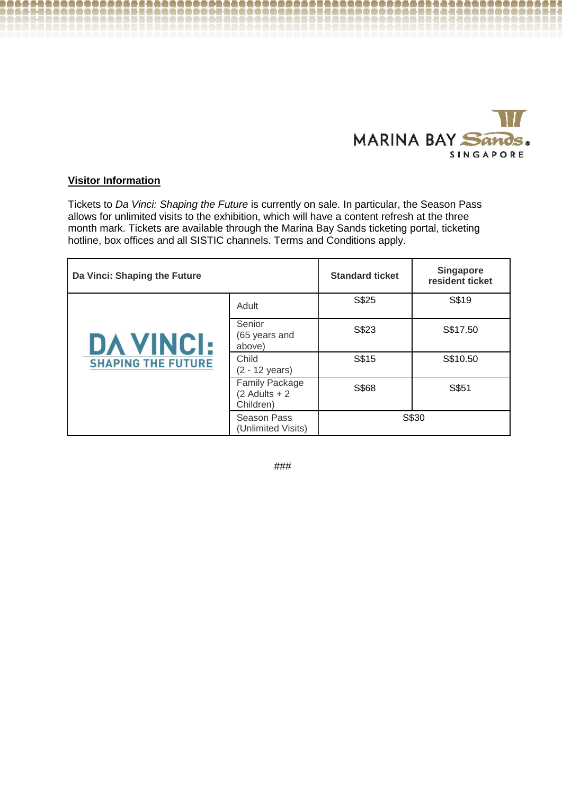

## **Visitor Information**

Tickets to *Da Vinci: Shaping the Future* is currently on sale. In particular, the Season Pass allows for unlimited visits to the exhibition, which will have a content refresh at the three month mark. Tickets are available through the Marina Bay Sands ticketing portal, ticketing hotline, box offices and all SISTIC channels. Terms and Conditions apply.

| Da Vinci: Shaping the Future                  |                                                       | <b>Standard ticket</b> | <b>Singapore</b><br>resident ticket |
|-----------------------------------------------|-------------------------------------------------------|------------------------|-------------------------------------|
| <b>DA VINCI:</b><br><b>SHAPING THE FUTURE</b> | Adult                                                 | S\$25                  | S\$19                               |
|                                               | Senior<br>(65 years and<br>above)                     | S\$23                  | S\$17.50                            |
|                                               | Child<br>$(2 - 12 \text{ years})$                     | S\$15                  | S\$10.50                            |
|                                               | <b>Family Package</b><br>$(2$ Adults + 2<br>Children) | S\$68                  | S\$51                               |
|                                               | Season Pass<br>(Unlimited Visits)                     | S\$30                  |                                     |

###